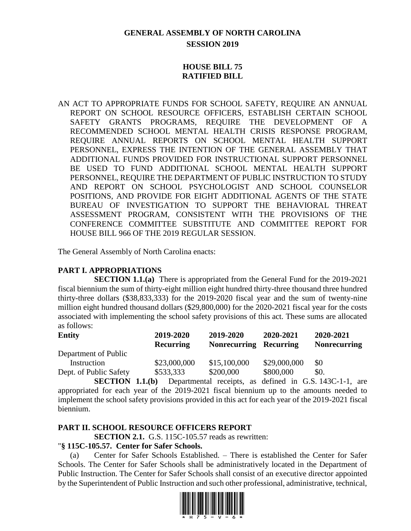# **GENERAL ASSEMBLY OF NORTH CAROLINA SESSION 2019**

## **HOUSE BILL 75 RATIFIED BILL**

AN ACT TO APPROPRIATE FUNDS FOR SCHOOL SAFETY, REQUIRE AN ANNUAL REPORT ON SCHOOL RESOURCE OFFICERS, ESTABLISH CERTAIN SCHOOL SAFETY GRANTS PROGRAMS, REQUIRE THE DEVELOPMENT OF A RECOMMENDED SCHOOL MENTAL HEALTH CRISIS RESPONSE PROGRAM, REQUIRE ANNUAL REPORTS ON SCHOOL MENTAL HEALTH SUPPORT PERSONNEL, EXPRESS THE INTENTION OF THE GENERAL ASSEMBLY THAT ADDITIONAL FUNDS PROVIDED FOR INSTRUCTIONAL SUPPORT PERSONNEL BE USED TO FUND ADDITIONAL SCHOOL MENTAL HEALTH SUPPORT PERSONNEL, REQUIRE THE DEPARTMENT OF PUBLIC INSTRUCTION TO STUDY AND REPORT ON SCHOOL PSYCHOLOGIST AND SCHOOL COUNSELOR POSITIONS, AND PROVIDE FOR EIGHT ADDITIONAL AGENTS OF THE STATE BUREAU OF INVESTIGATION TO SUPPORT THE BEHAVIORAL THREAT ASSESSMENT PROGRAM, CONSISTENT WITH THE PROVISIONS OF THE CONFERENCE COMMITTEE SUBSTITUTE AND COMMITTEE REPORT FOR HOUSE BILL 966 OF THE 2019 REGULAR SESSION.

The General Assembly of North Carolina enacts:

### **PART I. APPROPRIATIONS**

**SECTION 1.1.(a)** There is appropriated from the General Fund for the 2019-2021 fiscal biennium the sum of thirty-eight million eight hundred thirty-three thousand three hundred thirty-three dollars (\$38,833,333) for the 2019-2020 fiscal year and the sum of twenty-nine million eight hundred thousand dollars (\$29,800,000) for the 2020-2021 fiscal year for the costs associated with implementing the school safety provisions of this act. These sums are allocated as follows:

| <b>Entity</b>          | 2019-2020<br><b>Recurring</b> | 2019-2020<br><b>Nonrecurring</b> | 2020-2021<br><b>Recurring</b> | 2020-2021<br><b>Nonrecurring</b> |
|------------------------|-------------------------------|----------------------------------|-------------------------------|----------------------------------|
| Department of Public   |                               |                                  |                               |                                  |
| Instruction            | \$23,000,000                  | \$15,100,000                     | \$29,000,000                  | \$0                              |
| Dept. of Public Safety | \$533,333                     | \$200,000                        | \$800,000                     | \$0.                             |
|                        |                               |                                  |                               |                                  |

**SECTION 1.1.(b)** Departmental receipts, as defined in G.S. 143C-1-1, are appropriated for each year of the 2019-2021 fiscal biennium up to the amounts needed to implement the school safety provisions provided in this act for each year of the 2019-2021 fiscal biennium.

### **PART II. SCHOOL RESOURCE OFFICERS REPORT**

**SECTION 2.1.** G.S. 115C-105.57 reads as rewritten:

#### "**§ 115C-105.57. Center for Safer Schools.**

(a) Center for Safer Schools Established. – There is established the Center for Safer Schools. The Center for Safer Schools shall be administratively located in the Department of Public Instruction. The Center for Safer Schools shall consist of an executive director appointed by the Superintendent of Public Instruction and such other professional, administrative, technical,

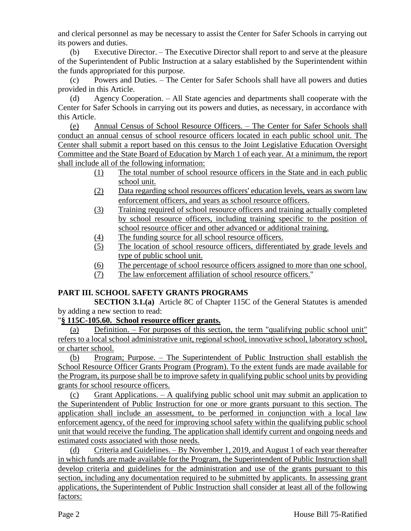and clerical personnel as may be necessary to assist the Center for Safer Schools in carrying out its powers and duties.

(b) Executive Director. – The Executive Director shall report to and serve at the pleasure of the Superintendent of Public Instruction at a salary established by the Superintendent within the funds appropriated for this purpose.

(c) Powers and Duties. – The Center for Safer Schools shall have all powers and duties provided in this Article.

(d) Agency Cooperation. – All State agencies and departments shall cooperate with the Center for Safer Schools in carrying out its powers and duties, as necessary, in accordance with this Article.

(e) Annual Census of School Resource Officers. – The Center for Safer Schools shall conduct an annual census of school resource officers located in each public school unit. The Center shall submit a report based on this census to the Joint Legislative Education Oversight Committee and the State Board of Education by March 1 of each year. At a minimum, the report shall include all of the following information:

- (1) The total number of school resource officers in the State and in each public school unit.
- (2) Data regarding school resources officers' education levels, years as sworn law enforcement officers, and years as school resource officers.
- (3) Training required of school resource officers and training actually completed by school resource officers, including training specific to the position of school resource officer and other advanced or additional training.
- (4) The funding source for all school resource officers.
- (5) The location of school resource officers, differentiated by grade levels and type of public school unit.
- (6) The percentage of school resource officers assigned to more than one school.
- (7) The law enforcement affiliation of school resource officers."

### **PART III. SCHOOL SAFETY GRANTS PROGRAMS**

**SECTION 3.1.(a)** Article 8C of Chapter 115C of the General Statutes is amended by adding a new section to read:

"**§ 115C-105.60. School resource officer grants.**

(a) Definition. – For purposes of this section, the term "qualifying public school unit" refers to a local school administrative unit, regional school, innovative school, laboratory school, or charter school.

(b) Program; Purpose. – The Superintendent of Public Instruction shall establish the School Resource Officer Grants Program (Program). To the extent funds are made available for the Program, its purpose shall be to improve safety in qualifying public school units by providing grants for school resource officers.

(c) Grant Applications. – A qualifying public school unit may submit an application to the Superintendent of Public Instruction for one or more grants pursuant to this section. The application shall include an assessment, to be performed in conjunction with a local law enforcement agency, of the need for improving school safety within the qualifying public school unit that would receive the funding. The application shall identify current and ongoing needs and estimated costs associated with those needs.

(d) Criteria and Guidelines. – By November 1, 2019, and August 1 of each year thereafter in which funds are made available for the Program, the Superintendent of Public Instruction shall develop criteria and guidelines for the administration and use of the grants pursuant to this section, including any documentation required to be submitted by applicants. In assessing grant applications, the Superintendent of Public Instruction shall consider at least all of the following factors: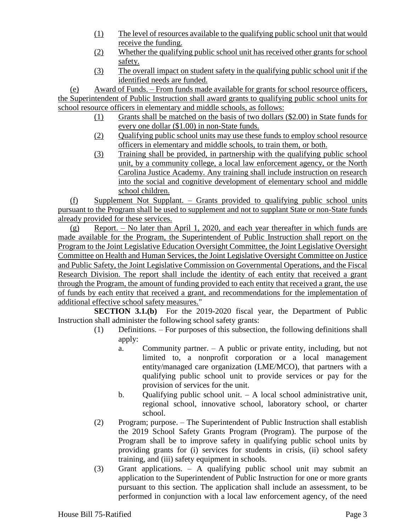- (1) The level of resources available to the qualifying public school unit that would receive the funding.
- (2) Whether the qualifying public school unit has received other grants for school safety.
- (3) The overall impact on student safety in the qualifying public school unit if the identified needs are funded.

(e) Award of Funds. – From funds made available for grants for school resource officers, the Superintendent of Public Instruction shall award grants to qualifying public school units for school resource officers in elementary and middle schools, as follows:

- (1) Grants shall be matched on the basis of two dollars (\$2.00) in State funds for every one dollar (\$1.00) in non-State funds.
- (2) Qualifying public school units may use these funds to employ school resource officers in elementary and middle schools, to train them, or both.
- (3) Training shall be provided, in partnership with the qualifying public school unit, by a community college, a local law enforcement agency, or the North Carolina Justice Academy. Any training shall include instruction on research into the social and cognitive development of elementary school and middle school children.

(f) Supplement Not Supplant. – Grants provided to qualifying public school units pursuant to the Program shall be used to supplement and not to supplant State or non-State funds already provided for these services.

(g) Report. – No later than April 1, 2020, and each year thereafter in which funds are made available for the Program, the Superintendent of Public Instruction shall report on the Program to the Joint Legislative Education Oversight Committee, the Joint Legislative Oversight Committee on Health and Human Services, the Joint Legislative Oversight Committee on Justice and Public Safety, the Joint Legislative Commission on Governmental Operations, and the Fiscal Research Division. The report shall include the identity of each entity that received a grant through the Program, the amount of funding provided to each entity that received a grant, the use of funds by each entity that received a grant, and recommendations for the implementation of additional effective school safety measures."

**SECTION 3.1.(b)** For the 2019-2020 fiscal year, the Department of Public Instruction shall administer the following school safety grants:

- (1) Definitions. For purposes of this subsection, the following definitions shall apply:
	- a. Community partner. A public or private entity, including, but not limited to, a nonprofit corporation or a local management entity/managed care organization (LME/MCO), that partners with a qualifying public school unit to provide services or pay for the provision of services for the unit.
	- b. Qualifying public school unit. A local school administrative unit, regional school, innovative school, laboratory school, or charter school.
- (2) Program; purpose. The Superintendent of Public Instruction shall establish the 2019 School Safety Grants Program (Program). The purpose of the Program shall be to improve safety in qualifying public school units by providing grants for (i) services for students in crisis, (ii) school safety training, and (iii) safety equipment in schools.
- (3) Grant applications. A qualifying public school unit may submit an application to the Superintendent of Public Instruction for one or more grants pursuant to this section. The application shall include an assessment, to be performed in conjunction with a local law enforcement agency, of the need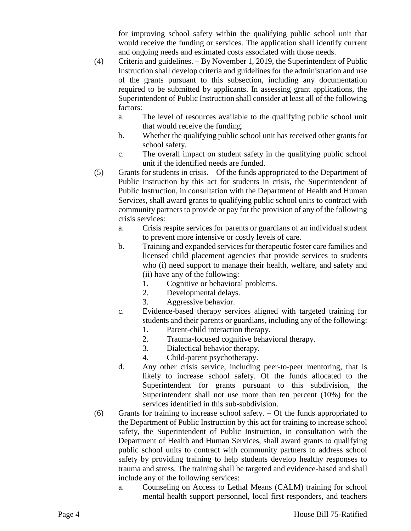for improving school safety within the qualifying public school unit that would receive the funding or services. The application shall identify current and ongoing needs and estimated costs associated with those needs.

- (4) Criteria and guidelines. By November 1, 2019, the Superintendent of Public Instruction shall develop criteria and guidelines for the administration and use of the grants pursuant to this subsection, including any documentation required to be submitted by applicants. In assessing grant applications, the Superintendent of Public Instruction shall consider at least all of the following factors:
	- a. The level of resources available to the qualifying public school unit that would receive the funding.
	- b. Whether the qualifying public school unit has received other grants for school safety.
	- c. The overall impact on student safety in the qualifying public school unit if the identified needs are funded.
- (5) Grants for students in crisis. Of the funds appropriated to the Department of Public Instruction by this act for students in crisis, the Superintendent of Public Instruction, in consultation with the Department of Health and Human Services, shall award grants to qualifying public school units to contract with community partners to provide or pay for the provision of any of the following crisis services:
	- a. Crisis respite services for parents or guardians of an individual student to prevent more intensive or costly levels of care.
	- b. Training and expanded services for therapeutic foster care families and licensed child placement agencies that provide services to students who (i) need support to manage their health, welfare, and safety and (ii) have any of the following:
		- 1. Cognitive or behavioral problems.
		- 2. Developmental delays.
		- 3. Aggressive behavior.
	- c. Evidence-based therapy services aligned with targeted training for students and their parents or guardians, including any of the following:
		- 1. Parent-child interaction therapy.
		- 2. Trauma-focused cognitive behavioral therapy.
		- 3. Dialectical behavior therapy.
		- 4. Child-parent psychotherapy.
	- d. Any other crisis service, including peer-to-peer mentoring, that is likely to increase school safety. Of the funds allocated to the Superintendent for grants pursuant to this subdivision, the Superintendent shall not use more than ten percent (10%) for the services identified in this sub-subdivision.
- (6) Grants for training to increase school safety. Of the funds appropriated to the Department of Public Instruction by this act for training to increase school safety, the Superintendent of Public Instruction, in consultation with the Department of Health and Human Services, shall award grants to qualifying public school units to contract with community partners to address school safety by providing training to help students develop healthy responses to trauma and stress. The training shall be targeted and evidence-based and shall include any of the following services:
	- a. Counseling on Access to Lethal Means (CALM) training for school mental health support personnel, local first responders, and teachers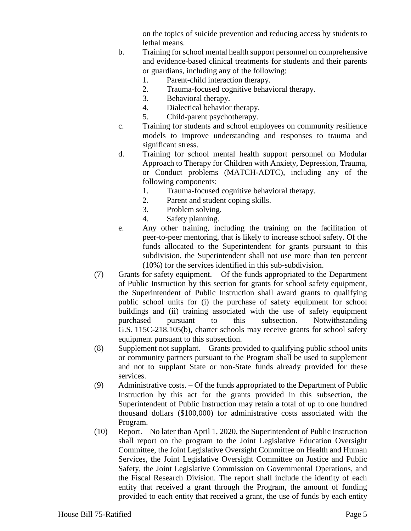on the topics of suicide prevention and reducing access by students to lethal means.

- b. Training for school mental health support personnel on comprehensive and evidence-based clinical treatments for students and their parents or guardians, including any of the following:
	- 1. Parent-child interaction therapy.
	- 2. Trauma-focused cognitive behavioral therapy.
	- 3. Behavioral therapy.
	- 4. Dialectical behavior therapy.
	- 5. Child-parent psychotherapy.
- c. Training for students and school employees on community resilience models to improve understanding and responses to trauma and significant stress.
- d. Training for school mental health support personnel on Modular Approach to Therapy for Children with Anxiety, Depression, Trauma, or Conduct problems (MATCH-ADTC), including any of the following components:
	- 1. Trauma-focused cognitive behavioral therapy.
	- 2. Parent and student coping skills.
	- 3. Problem solving.
	- 4. Safety planning.
- e. Any other training, including the training on the facilitation of peer-to-peer mentoring, that is likely to increase school safety. Of the funds allocated to the Superintendent for grants pursuant to this subdivision, the Superintendent shall not use more than ten percent (10%) for the services identified in this sub-subdivision.
- (7) Grants for safety equipment. Of the funds appropriated to the Department of Public Instruction by this section for grants for school safety equipment, the Superintendent of Public Instruction shall award grants to qualifying public school units for (i) the purchase of safety equipment for school buildings and (ii) training associated with the use of safety equipment purchased pursuant to this subsection. Notwithstanding G.S. 115C-218.105(b), charter schools may receive grants for school safety equipment pursuant to this subsection.
- (8) Supplement not supplant. Grants provided to qualifying public school units or community partners pursuant to the Program shall be used to supplement and not to supplant State or non-State funds already provided for these services.
- (9) Administrative costs. Of the funds appropriated to the Department of Public Instruction by this act for the grants provided in this subsection, the Superintendent of Public Instruction may retain a total of up to one hundred thousand dollars (\$100,000) for administrative costs associated with the Program.
- (10) Report. No later than April 1, 2020, the Superintendent of Public Instruction shall report on the program to the Joint Legislative Education Oversight Committee, the Joint Legislative Oversight Committee on Health and Human Services, the Joint Legislative Oversight Committee on Justice and Public Safety, the Joint Legislative Commission on Governmental Operations, and the Fiscal Research Division. The report shall include the identity of each entity that received a grant through the Program, the amount of funding provided to each entity that received a grant, the use of funds by each entity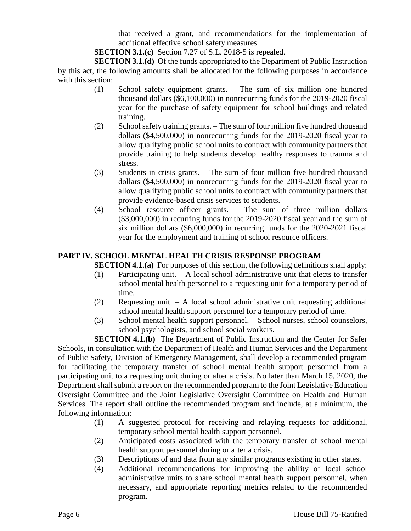that received a grant, and recommendations for the implementation of additional effective school safety measures.

**SECTION 3.1.(c)** Section 7.27 of S.L. 2018-5 is repealed.

**SECTION 3.1.(d)** Of the funds appropriated to the Department of Public Instruction by this act, the following amounts shall be allocated for the following purposes in accordance with this section:

- (1) School safety equipment grants. The sum of six million one hundred thousand dollars (\$6,100,000) in nonrecurring funds for the 2019-2020 fiscal year for the purchase of safety equipment for school buildings and related training.
- (2) School safety training grants. The sum of four million five hundred thousand dollars (\$4,500,000) in nonrecurring funds for the 2019-2020 fiscal year to allow qualifying public school units to contract with community partners that provide training to help students develop healthy responses to trauma and stress.
- (3) Students in crisis grants. The sum of four million five hundred thousand dollars (\$4,500,000) in nonrecurring funds for the 2019-2020 fiscal year to allow qualifying public school units to contract with community partners that provide evidence-based crisis services to students.
- (4) School resource officer grants. The sum of three million dollars (\$3,000,000) in recurring funds for the 2019-2020 fiscal year and the sum of six million dollars (\$6,000,000) in recurring funds for the 2020-2021 fiscal year for the employment and training of school resource officers.

## **PART IV. SCHOOL MENTAL HEALTH CRISIS RESPONSE PROGRAM**

**SECTION 4.1.(a)** For purposes of this section, the following definitions shall apply:

- (1) Participating unit. A local school administrative unit that elects to transfer school mental health personnel to a requesting unit for a temporary period of time.
- (2) Requesting unit. A local school administrative unit requesting additional school mental health support personnel for a temporary period of time.
- (3) School mental health support personnel. School nurses, school counselors, school psychologists, and school social workers.

**SECTION 4.1.(b)** The Department of Public Instruction and the Center for Safer Schools, in consultation with the Department of Health and Human Services and the Department of Public Safety, Division of Emergency Management, shall develop a recommended program for facilitating the temporary transfer of school mental health support personnel from a participating unit to a requesting unit during or after a crisis. No later than March 15, 2020, the Department shall submit a report on the recommended program to the Joint Legislative Education Oversight Committee and the Joint Legislative Oversight Committee on Health and Human Services. The report shall outline the recommended program and include, at a minimum, the following information:

- (1) A suggested protocol for receiving and relaying requests for additional, temporary school mental health support personnel.
- (2) Anticipated costs associated with the temporary transfer of school mental health support personnel during or after a crisis.
- (3) Descriptions of and data from any similar programs existing in other states.
- (4) Additional recommendations for improving the ability of local school administrative units to share school mental health support personnel, when necessary, and appropriate reporting metrics related to the recommended program.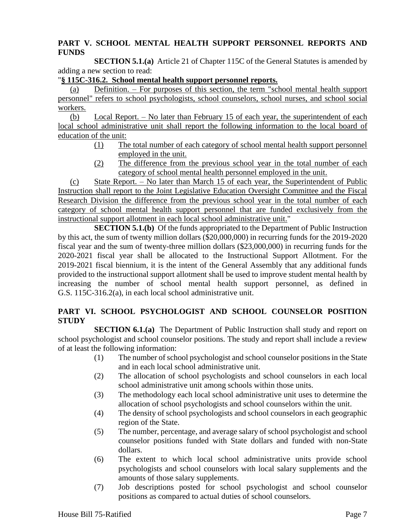### **PART V. SCHOOL MENTAL HEALTH SUPPORT PERSONNEL REPORTS AND FUNDS**

**SECTION 5.1.(a)** Article 21 of Chapter 115C of the General Statutes is amended by adding a new section to read:

#### "**§ 115C-316.2. School mental health support personnel reports.**

(a) Definition. – For purposes of this section, the term "school mental health support personnel" refers to school psychologists, school counselors, school nurses, and school social workers.

(b) Local Report. – No later than February 15 of each year, the superintendent of each local school administrative unit shall report the following information to the local board of education of the unit:

- (1) The total number of each category of school mental health support personnel employed in the unit.
- (2) The difference from the previous school year in the total number of each category of school mental health personnel employed in the unit.

(c) State Report. – No later than March 15 of each year, the Superintendent of Public Instruction shall report to the Joint Legislative Education Oversight Committee and the Fiscal Research Division the difference from the previous school year in the total number of each category of school mental health support personnel that are funded exclusively from the instructional support allotment in each local school administrative unit."

**SECTION 5.1.(b)** Of the funds appropriated to the Department of Public Instruction by this act, the sum of twenty million dollars (\$20,000,000) in recurring funds for the 2019-2020 fiscal year and the sum of twenty-three million dollars (\$23,000,000) in recurring funds for the 2020-2021 fiscal year shall be allocated to the Instructional Support Allotment. For the 2019-2021 fiscal biennium, it is the intent of the General Assembly that any additional funds provided to the instructional support allotment shall be used to improve student mental health by increasing the number of school mental health support personnel, as defined in G.S. 115C-316.2(a), in each local school administrative unit.

## **PART VI. SCHOOL PSYCHOLOGIST AND SCHOOL COUNSELOR POSITION STUDY**

**SECTION 6.1.(a)** The Department of Public Instruction shall study and report on school psychologist and school counselor positions. The study and report shall include a review of at least the following information:

- (1) The number of school psychologist and school counselor positions in the State and in each local school administrative unit.
- (2) The allocation of school psychologists and school counselors in each local school administrative unit among schools within those units.
- (3) The methodology each local school administrative unit uses to determine the allocation of school psychologists and school counselors within the unit.
- (4) The density of school psychologists and school counselors in each geographic region of the State.
- (5) The number, percentage, and average salary of school psychologist and school counselor positions funded with State dollars and funded with non-State dollars.
- (6) The extent to which local school administrative units provide school psychologists and school counselors with local salary supplements and the amounts of those salary supplements.
- (7) Job descriptions posted for school psychologist and school counselor positions as compared to actual duties of school counselors.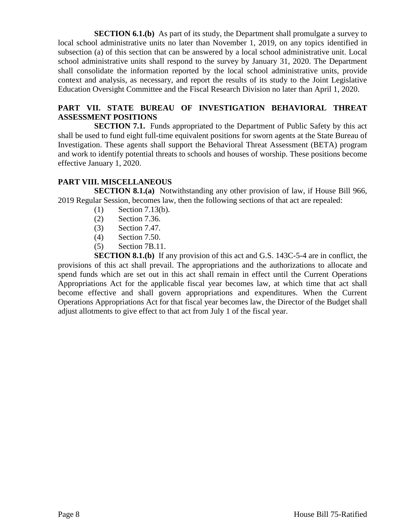**SECTION 6.1.(b)** As part of its study, the Department shall promulgate a survey to local school administrative units no later than November 1, 2019, on any topics identified in subsection (a) of this section that can be answered by a local school administrative unit. Local school administrative units shall respond to the survey by January 31, 2020. The Department shall consolidate the information reported by the local school administrative units, provide context and analysis, as necessary, and report the results of its study to the Joint Legislative Education Oversight Committee and the Fiscal Research Division no later than April 1, 2020.

### **PART VII. STATE BUREAU OF INVESTIGATION BEHAVIORAL THREAT ASSESSMENT POSITIONS**

**SECTION 7.1.** Funds appropriated to the Department of Public Safety by this act shall be used to fund eight full-time equivalent positions for sworn agents at the State Bureau of Investigation. These agents shall support the Behavioral Threat Assessment (BETA) program and work to identify potential threats to schools and houses of worship. These positions become effective January 1, 2020.

## **PART VIII. MISCELLANEOUS**

**SECTION 8.1.(a)** Notwithstanding any other provision of law, if House Bill 966, 2019 Regular Session, becomes law, then the following sections of that act are repealed:

- (1) Section 7.13(b).
- (2) Section 7.36.
- (3) Section 7.47.
- (4) Section 7.50.
- (5) Section 7B.11.

**SECTION 8.1.(b)** If any provision of this act and G.S. 143C-5-4 are in conflict, the provisions of this act shall prevail. The appropriations and the authorizations to allocate and spend funds which are set out in this act shall remain in effect until the Current Operations Appropriations Act for the applicable fiscal year becomes law, at which time that act shall become effective and shall govern appropriations and expenditures. When the Current Operations Appropriations Act for that fiscal year becomes law, the Director of the Budget shall adjust allotments to give effect to that act from July 1 of the fiscal year.